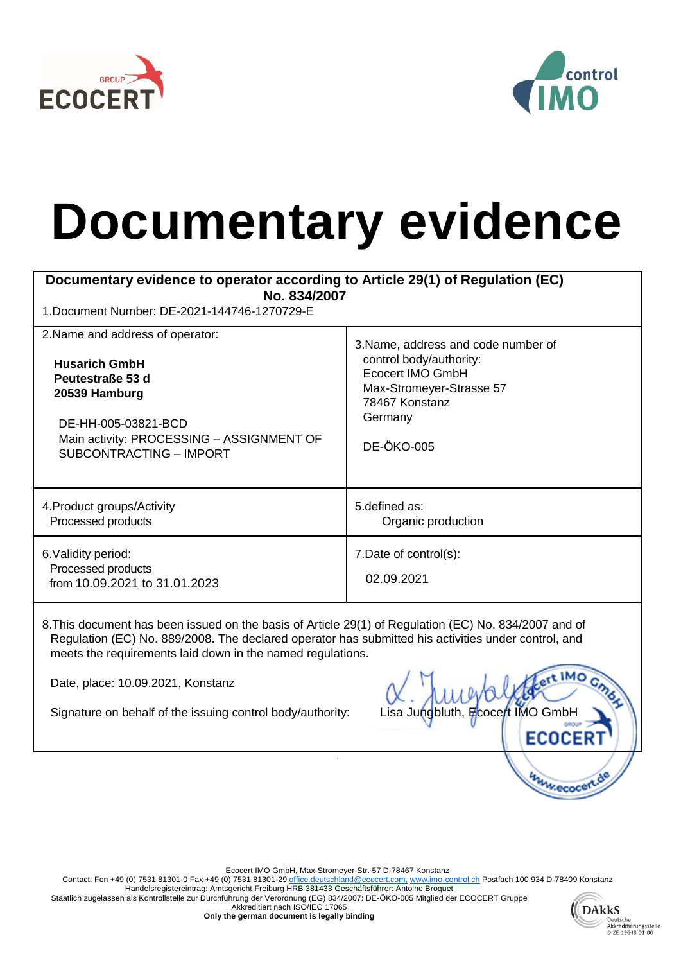



## **Documentary evidence**

| Documentary evidence to operator according to Article 29(1) of Regulation (EC)<br>No. 834/2007<br>1. Document Number: DE-2021-144746-1270729-E |                                      |  |
|------------------------------------------------------------------------------------------------------------------------------------------------|--------------------------------------|--|
| 2. Name and address of operator:                                                                                                               | 3. Name, address and code number of  |  |
| <b>Husarich GmbH</b>                                                                                                                           | control body/authority:              |  |
| Peutestraße 53 d                                                                                                                               | Ecocert IMO GmbH                     |  |
| 20539 Hamburg                                                                                                                                  | Max-Stromeyer-Strasse 57             |  |
| DE-HH-005-03821-BCD                                                                                                                            | 78467 Konstanz                       |  |
| Main activity: PROCESSING - ASSIGNMENT OF                                                                                                      | Germany                              |  |
| SUBCONTRACTING - IMPORT                                                                                                                        | <b>DE-ÖKO-005</b>                    |  |
| 4. Product groups/Activity                                                                                                                     | 5. defined as:                       |  |
| Processed products                                                                                                                             | Organic production                   |  |
| 6. Validity period:<br>Processed products<br>from 10.09.2021 to 31.01.2023                                                                     | 7. Date of control(s):<br>02.09.2021 |  |

8.This document has been issued on the basis of Article 29(1) of Regulation (EC) No. 834/2007 and of Regulation (EC) No. 889/2008. The declared operator has submitted his activities under control, and meets the requirements laid down in the named regulations.

Date, place: 10.09.2021, Konstanz

Signature on behalf of the issuing control body/authority: Lisa Jungbluth, Ecocert IMO GmbH

**ECOCER University** 

Ecocert IMO GmbH, Max-Stromeyer-Str. 57 D-78467 Konstanz

.

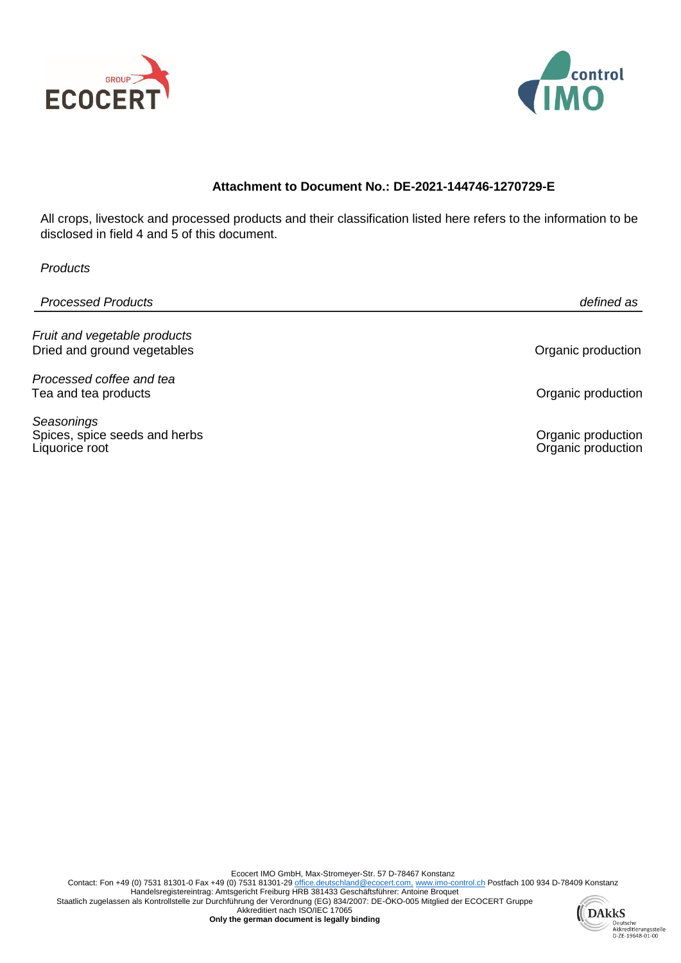



## **Attachment to Document No.: DE-2021-144746-1270729-E**

All crops, livestock and processed products and their classification listed here refers to the information to be disclosed in field 4 and 5 of this document.

| Products                                                      |                                          |
|---------------------------------------------------------------|------------------------------------------|
| <b>Processed Products</b>                                     | defined as                               |
| Fruit and vegetable products<br>Dried and ground vegetables   | Organic production                       |
| Processed coffee and tea<br>Tea and tea products              | Organic production                       |
| Seasonings<br>Spices, spice seeds and herbs<br>Liquorice root | Organic production<br>Organic production |
|                                                               |                                          |